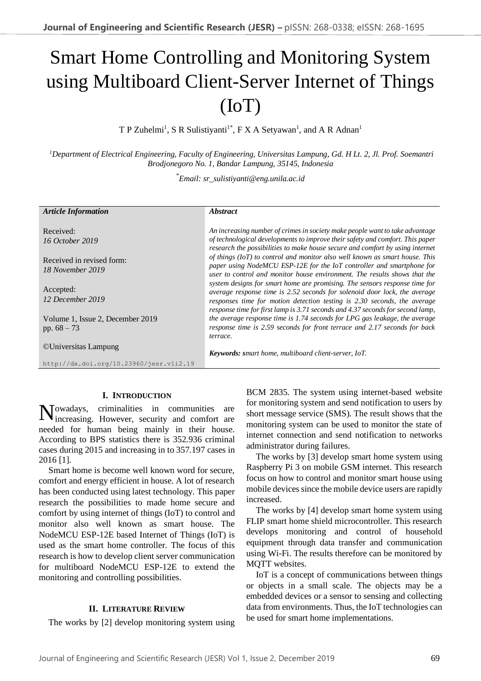# Smart Home Controlling and Monitoring System using Multiboard Client-Server Internet of Things (IoT)

T P Zuhelmi<sup>1</sup>, S R Sulistiyanti<sup>1\*</sup>, F X A Setyawan<sup>1</sup>, and A R Adnan<sup>1</sup>

*<sup>1</sup>Department of Electrical Engineering, Faculty of Engineering, Universitas Lampung, Gd. H Lt. 2, Jl. Prof. Soemantri Brodjonegoro No. 1, Bandar Lampung, 35145, Indonesia* 

\**Email: sr\_sulistiyanti@eng.unila.ac.id*

| <b>Article Information</b>                        | <i><b>Abstract</b></i>                                                                                                                                                                                                                                                                                                |
|---------------------------------------------------|-----------------------------------------------------------------------------------------------------------------------------------------------------------------------------------------------------------------------------------------------------------------------------------------------------------------------|
| Received:<br>16 October 2019                      | An increasing number of crimes in society make people want to take advantage<br>of technological developments to improve their safety and comfort. This paper<br>research the possibilities to make house secure and comfort by using internet                                                                        |
| Received in revised form:<br>18 November 2019     | of things (IoT) to control and monitor also well known as smart house. This<br>paper using NodeMCU ESP-12E for the IoT controller and smartphone for<br>user to control and monitor house environment. The results shows that the                                                                                     |
| Accepted:<br>12 December 2019                     | system designs for smart home are promising. The sensors response time for<br>average response time is 2.52 seconds for solenoid door lock, the average<br>responses time for motion detection testing is 2.30 seconds, the average<br>response time for first lamp is 3.71 seconds and 4.37 seconds for second lamp, |
| Volume 1, Issue 2, December 2019<br>pp. $68 - 73$ | the average response time is 1.74 seconds for LPG gas leakage, the average<br>response time is 2.59 seconds for front terrace and 2.17 seconds for back<br>terrace.                                                                                                                                                   |
| <b>©Universitas Lampung</b>                       | Keywords: smart home, multiboard client-server, IoT.                                                                                                                                                                                                                                                                  |
| http://dx.doi.org/10.23960/jesr.vli2.19           |                                                                                                                                                                                                                                                                                                                       |

# **I. INTRODUCTION**

Nowadays, criminalities in communities are increasing. However, security and comfort are increasing. However, security and comfort are needed for human being mainly in their house. According to BPS statistics there is 352.936 criminal cases during 2015 and increasing in to 357.197 cases in 2016 [1].

Smart home is become well known word for secure, comfort and energy efficient in house. A lot of research has been conducted using latest technology. This paper research the possibilities to made home secure and comfort by using internet of things (IoT) to control and monitor also well known as smart house. The NodeMCU ESP-12E based Internet of Things (IoT) is used as the smart home controller. The focus of this research is how to develop client server communication for multiboard NodeMCU ESP-12E to extend the monitoring and controlling possibilities.

# **II. LITERATURE REVIEW**

The works by [2] develop monitoring system using

BCM 2835. The system using internet-based website for monitoring system and send notification to users by short message service (SMS). The result shows that the monitoring system can be used to monitor the state of internet connection and send notification to networks administrator during failures.

The works by [3] develop smart home system using Raspberry Pi 3 on mobile GSM internet. This research focus on how to control and monitor smart house using mobile devices since the mobile device users are rapidly increased.

The works by [4] develop smart home system using FLIP smart home shield microcontroller. This research develops monitoring and control of household equipment through data transfer and communication using Wi-Fi. The results therefore can be monitored by MQTT websites.

IoT is a concept of communications between things or objects in a small scale. The objects may be a embedded devices or a sensor to sensing and collecting data from environments. Thus, the IoT technologies can be used for smart home implementations.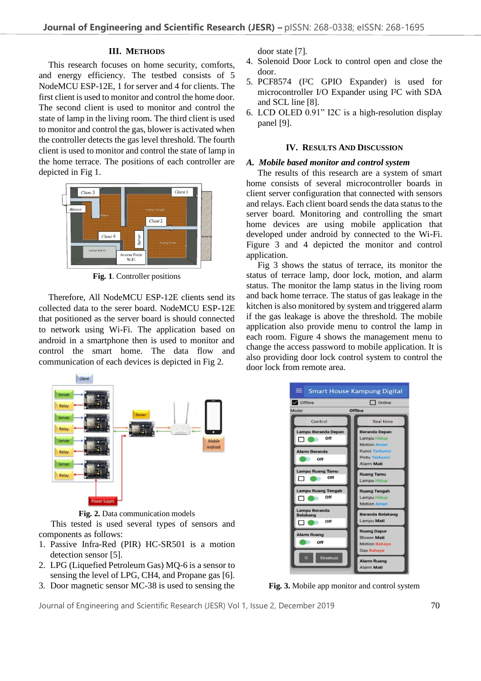# **III. METHODS**

This research focuses on home security, comforts, and energy efficiency. The testbed consists of 5 NodeMCU ESP-12E, 1 for server and 4 for clients. The first client is used to monitor and control the home door. The second client is used to monitor and control the state of lamp in the living room. The third client is used to monitor and control the gas, blower is activated when the controller detects the gas level threshold. The fourth client is used to monitor and control the state of lamp in the home terrace. The positions of each controller are depicted in Fig 1.



**Fig. 1**. Controller positions

Therefore, All NodeMCU ESP-12E clients send its collected data to the serer board. NodeMCU ESP-12E that positioned as the server board is should connected to network using Wi-Fi. The application based on android in a smartphone then is used to monitor and control the smart home. The data flow and communication of each devices is depicted in Fig 2.



**Fig. 2.** Data communication models

This tested is used several types of sensors and components as follows:

- 1. Passive Infra-Red (PIR) HC-SR501 is a motion detection sensor [5].
- 2. LPG (Liquefied Petroleum Gas) MQ-6 is a sensor to sensing the level of LPG, CH4, and Propane gas [6].
- 3. Door magnetic sensor MC-38 is used to sensing the

door state [7].

- 4. Solenoid Door Lock to control open and close the door.
- 5. PCF8574 (I²C GPIO Expander) is used for microcontroller I/O Expander using I²C with SDA and SCL line [8].
- 6. LCD OLED 0.91" I2C is a high-resolution display panel [9].

#### **IV. RESULTS AND DISCUSSION**

# *A. Mobile based monitor and control system*

The results of this research are a system of smart home consists of several microcontroller boards in client server configuration that connected with sensors and relays. Each client board sends the data status to the server board. Monitoring and controlling the smart home devices are using mobile application that developed under android by connected to the Wi-Fi. Figure 3 and 4 depicted the monitor and control application.

Fig 3 shows the status of terrace, its monitor the status of terrace lamp, door lock, motion, and alarm status. The monitor the lamp status in the living room and back home terrace. The status of gas leakage in the kitchen is also monitored by system and triggered alarm if the gas leakage is above the threshold. The mobile application also provide menu to control the lamp in each room. Figure 4 shows the management menu to change the access password to mobile application. It is also providing door lock control system to control the door lock from remote area.



**Fig. 3.** Mobile app monitor and control system

Journal of Engineering and Scientific Research (JESR) Vol 1, Issue 2, December 2019 70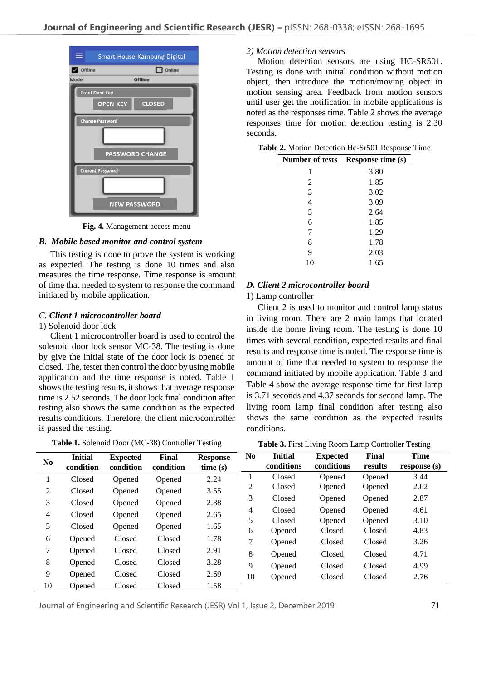

**Fig. 4.** Management access menu

# *B. Mobile based monitor and control system*

This testing is done to prove the system is working as expected. The testing is done 10 times and also measures the time response. Time response is amount of time that needed to system to response the command initiated by mobile application.

#### *C. Client 1 microcontroller board*

#### 1) Solenoid door lock

Client 1 microcontroller board is used to control the solenoid door lock sensor MC-38. The testing is done by give the initial state of the door lock is opened or closed. The, tester then control the door by using mobile application and the time response is noted. Table 1 shows the testing results, it shows that average response time is 2.52 seconds. The door lock final condition after testing also shows the same condition as the expected results conditions. Therefore, the client microcontroller is passed the testing.

**Table 1.** Solenoid Door (MC-38) Controller Testing

#### *2) Motion detection sensors*

Motion detection sensors are using HC-SR501. Testing is done with initial condition without motion object, then introduce the motion/moving object in motion sensing area. Feedback from motion sensors until user get the notification in mobile applications is noted as the responses time. Table 2 shows the average responses time for motion detection testing is 2.30 seconds.

|  |  | Table 2. Motion Detection Hc-Sr501 Response Time |  |  |  |
|--|--|--------------------------------------------------|--|--|--|
|--|--|--------------------------------------------------|--|--|--|

| <b>Number of tests</b> | <b>Response time (s)</b> |
|------------------------|--------------------------|
| 1                      | 3.80                     |
| 2                      | 1.85                     |
| 3                      | 3.02                     |
| $\overline{4}$         | 3.09                     |
| 5                      | 2.64                     |
| 6                      | 1.85                     |
| 7                      | 1.29                     |
| 8                      | 1.78                     |
| 9                      | 2.03                     |
| 10                     | 1.65                     |

#### *D. Client 2 microcontroller board*

1) Lamp controller

Client 2 is used to monitor and control lamp status in living room. There are 2 main lamps that located inside the home living room. The testing is done 10 times with several condition, expected results and final results and response time is noted. The response time is amount of time that needed to system to response the command initiated by mobile application. Table 3 and Table 4 show the average response time for first lamp is 3.71 seconds and 4.37 seconds for second lamp. The living room lamp final condition after testing also shows the same condition as the expected results conditions.

**Table 3.** First Living Room Lamp Controller Testing

| N <sub>0</sub> | <b>Initial</b><br>condition | <b>Expected</b><br>condition | Final<br>condition | <b>Response</b><br>time(s) | N <sub>0</sub> | <b>Initial</b><br>conditions | <b>Expected</b><br>conditions | Final<br>results | <b>Time</b><br>response (s) |
|----------------|-----------------------------|------------------------------|--------------------|----------------------------|----------------|------------------------------|-------------------------------|------------------|-----------------------------|
|                | Closed                      |                              |                    |                            |                | Closed                       | Opened                        | Opened           | 3.44                        |
|                |                             | Opened                       | Opened             | 2.24                       | 2              | Closed                       | Opened                        | Opened           | 2.62                        |
| 2              | Closed                      | Opened                       | Opened             | 3.55                       | 3              | Closed                       | Opened                        | Opened           | 2.87                        |
| 3              | Closed                      | Opened                       | Opened             | 2.88                       | 4              | Closed                       | Opened                        | Opened           | 4.61                        |
| 4              | Closed                      | Opened                       | Opened             | 2.65                       | 5              | Closed                       | Opened                        | Opened           | 3.10                        |
| 5              | Closed                      | Opened                       | Opened             | 1.65                       | 6              | Opened                       | Closed                        | Closed           | 4.83                        |
| 6              | Opened                      | Closed                       | Closed             | 1.78                       | $\tau$         | Opened                       | Closed                        | Closed           | 3.26                        |
| 7              | Opened                      | Closed                       | Closed             | 2.91                       |                |                              | Closed                        |                  |                             |
| 8              | Opened                      | Closed                       | Closed             | 3.28                       | 8              | Opened                       |                               | Closed           | 4.71                        |
| 9              | Opened                      | Closed                       | Closed             | 2.69                       | 9              | Opened                       | Closed                        | Closed           | 4.99                        |
|                |                             |                              |                    |                            | 10             | Opened                       | Closed                        | Closed           | 2.76                        |
| 10             | Opened                      | Closed                       | Closed             | 1.58                       |                |                              |                               |                  |                             |

Journal of Engineering and Scientific Research (JESR) Vol 1, Issue 2, December 2019 71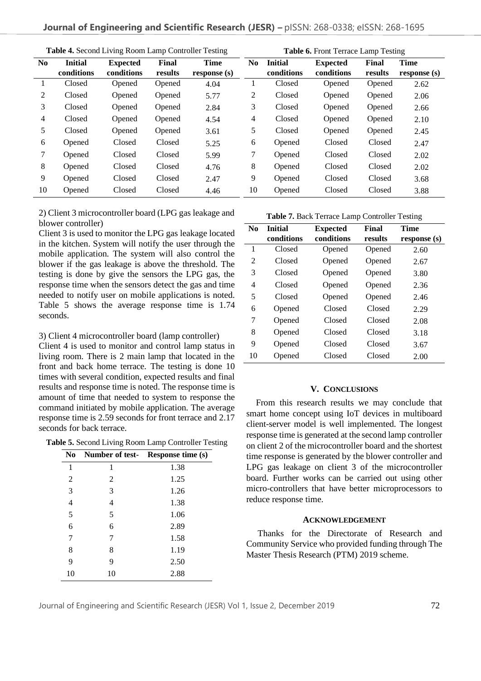| <b>Table 4. Second Living Room Lamp Controller Testing</b> |                              |                               |                  | Table 6. Front Terrace Lamp Testing |                |                              |                               |                  |                             |
|------------------------------------------------------------|------------------------------|-------------------------------|------------------|-------------------------------------|----------------|------------------------------|-------------------------------|------------------|-----------------------------|
| N <sub>0</sub>                                             | <b>Initial</b><br>conditions | <b>Expected</b><br>conditions | Final<br>results | <b>Time</b><br>response (s)         | N <sub>0</sub> | <b>Initial</b><br>conditions | <b>Expected</b><br>conditions | Final<br>results | <b>Time</b><br>response (s) |
|                                                            | Closed                       | Opened                        | Opened           | 4.04                                |                | Closed                       | Opened                        | Opened           | 2.62                        |
| 2                                                          | Closed                       | Opened                        | Opened           | 5.77                                | 2              | Closed                       | Opened                        | Opened           | 2.06                        |
| 3                                                          | Closed                       | Opened                        | Opened           | 2.84                                | 3              | Closed                       | Opened                        | Opened           | 2.66                        |
| 4                                                          | Closed                       | Opened                        | Opened           | 4.54                                | $\overline{4}$ | Closed                       | Opened                        | Opened           | 2.10                        |
| 5                                                          | Closed                       | Opened                        | Opened           | 3.61                                | 5              | Closed                       | Opened                        | Opened           | 2.45                        |
| 6                                                          | Opened                       | Closed                        | Closed           | 5.25                                | 6              | Opened                       | Closed                        | Closed           | 2.47                        |
| 7                                                          | Opened                       | Closed                        | Closed           | 5.99                                | 7              | Opened                       | Closed                        | Closed           | 2.02                        |
| 8                                                          | Opened                       | Closed                        | Closed           | 4.76                                | 8              | Opened                       | Closed                        | Closed           | 2.02                        |
| 9                                                          | Opened                       | Closed                        | Closed           | 2.47                                | 9              | Opened                       | Closed                        | Closed           | 3.68                        |
| 10                                                         | Opened                       | Closed                        | Closed           | 4.46                                | 10             | Opened                       | Closed                        | Closed           | 3.88                        |

2) Client 3 microcontroller board (LPG gas leakage and blower controller)

Client 3 is used to monitor the LPG gas leakage located in the kitchen. System will notify the user through the mobile application. The system will also control the blower if the gas leakage is above the threshold. The testing is done by give the sensors the LPG gas, the response time when the sensors detect the gas and time needed to notify user on mobile applications is noted. Table 5 shows the average response time is 1.74 seconds.

3) Client 4 microcontroller board (lamp controller)

Client 4 is used to monitor and control lamp status in living room. There is 2 main lamp that located in the front and back home terrace. The testing is done 10 times with several condition, expected results and final results and response time is noted. The response time is amount of time that needed to system to response the command initiated by mobile application. The average response time is 2.59 seconds for front terrace and 2.17 seconds for back terrace.

**Table 5.** Second Living Room Lamp Controller Testing

| N <sub>0</sub> |    | Number of test-Response time (s) |
|----------------|----|----------------------------------|
| 1              | 1  | 1.38                             |
| 2              | 2  | 1.25                             |
| 3              | 3  | 1.26                             |
| 4              | 4  | 1.38                             |
| 5              | 5  | 1.06                             |
| 6              | 6  | 2.89                             |
| 7              | 7  | 1.58                             |
| 8              | 8  | 1.19                             |
| 9              | 9  | 2.50                             |
| 10             | 10 | 2.88                             |

|                | Table 7. Back Terrace Lamp Controller Testing |                 |         |              |  |  |  |
|----------------|-----------------------------------------------|-----------------|---------|--------------|--|--|--|
| N <sub>0</sub> | <b>Initial</b>                                | <b>Expected</b> | Final   | <b>Time</b>  |  |  |  |
|                | conditions                                    | conditions      | results | response (s) |  |  |  |
| 1              | Closed                                        | Opened          | Opened  | 2.60         |  |  |  |
| 2              | Closed                                        | Opened          | Opened  | 2.67         |  |  |  |
| 3              | Closed                                        | Opened          | Opened  | 3.80         |  |  |  |
| 4              | Closed                                        | Opened          | Opened  | 2.36         |  |  |  |
| 5              | Closed                                        | Opened          | Opened  | 2.46         |  |  |  |
| 6              | Opened                                        | Closed          | Closed  | 2.29         |  |  |  |
| 7              | Opened                                        | Closed          | Closed  | 2.08         |  |  |  |
| 8              | Opened                                        | Closed          | Closed  | 3.18         |  |  |  |
| 9              | Opened                                        | Closed          | Closed  | 3.67         |  |  |  |
| 10             | Opened                                        | Closed          | Closed  | 2.00         |  |  |  |

#### **V. CONCLUSIONS**

From this research results we may conclude that smart home concept using IoT devices in multiboard client-server model is well implemented. The longest response time is generated at the second lamp controller on client 2 of the microcontroller board and the shortest time response is generated by the blower controller and LPG gas leakage on client 3 of the microcontroller board. Further works can be carried out using other micro-controllers that have better microprocessors to reduce response time.

#### **ACKNOWLEDGEMENT**

Thanks for the Directorate of Research and Community Service who provided funding through The Master Thesis Research (PTM) 2019 scheme.